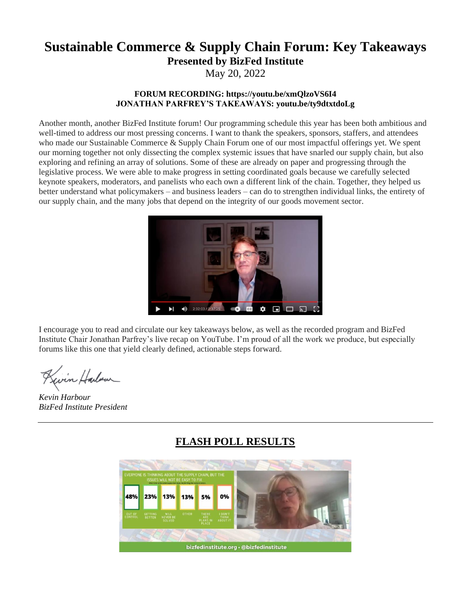# **Sustainable Commerce & Supply Chain Forum: Key Takeaways Presented by BizFed Institute**

May 20, 2022

#### **FORUM RECORDING: https://youtu.be/xmQlzoVS6I4 JONATHAN PARFREY'S TAKEAWAYS: youtu.be/ty9dtxtdoLg**

Another month, another BizFed Institute forum! Our programming schedule this year has been both ambitious and well-timed to address our most pressing concerns. I want to thank the speakers, sponsors, staffers, and attendees who made our Sustainable Commerce & Supply Chain Forum one of our most impactful offerings yet. We spent our morning together not only dissecting the complex systemic issues that have snarled our supply chain, but also exploring and refining an array of solutions. Some of these are already on paper and progressing through the legislative process. We were able to make progress in setting coordinated goals because we carefully selected keynote speakers, moderators, and panelists who each own a different link of the chain. Together, they helped us better understand what policymakers – and business leaders – can do to strengthen individual links, the entirety of our supply chain, and the many jobs that depend on the integrity of our goods movement sector.



I encourage you to read and circulate our key takeaways below, as well as the recorded program and BizFed Institute Chair Jonathan Parfrey's live recap on YouTube. I'm proud of all the work we produce, but especially forums like this one that yield clearly defined, actionable steps forward.

Kevin Harbour

*Kevin Harbour BizFed Institute President*

# **FLASH POLL RESULTS**

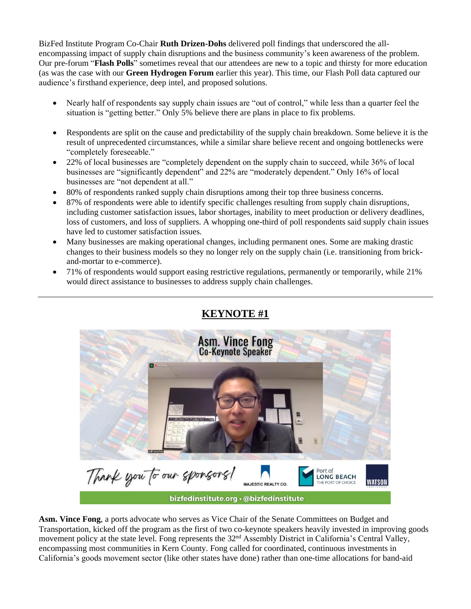BizFed Institute Program Co-Chair **Ruth Drizen-Dohs** delivered poll findings that underscored the allencompassing impact of supply chain disruptions and the business community's keen awareness of the problem. Our pre-forum "**Flash Polls**" sometimes reveal that our attendees are new to a topic and thirsty for more education (as was the case with our **Green Hydrogen Forum** earlier this year). This time, our Flash Poll data captured our audience's firsthand experience, deep intel, and proposed solutions.

- Nearly half of respondents say supply chain issues are "out of control," while less than a quarter feel the situation is "getting better." Only 5% believe there are plans in place to fix problems.
- Respondents are split on the cause and predictability of the supply chain breakdown. Some believe it is the result of unprecedented circumstances, while a similar share believe recent and ongoing bottlenecks were "completely foreseeable."
- 22% of local businesses are "completely dependent on the supply chain to succeed, while 36% of local businesses are "significantly dependent" and 22% are "moderately dependent." Only 16% of local businesses are "not dependent at all."
- 80% of respondents ranked supply chain disruptions among their top three business concerns.
- 87% of respondents were able to identify specific challenges resulting from supply chain disruptions, including customer satisfaction issues, labor shortages, inability to meet production or delivery deadlines, loss of customers, and loss of suppliers. A whopping one-third of poll respondents said supply chain issues have led to customer satisfaction issues.
- Many businesses are making operational changes, including permanent ones. Some are making drastic changes to their business models so they no longer rely on the supply chain (i.e. transitioning from brickand-mortar to e-commerce).
- 71% of respondents would support easing restrictive regulations, permanently or temporarily, while 21% would direct assistance to businesses to address supply chain challenges.

## **KEYNOTE #1**



**Asm. Vince Fong**, a ports advocate who serves as Vice Chair of the Senate Committees on Budget and Transportation, kicked off the program as the first of two co-keynote speakers heavily invested in improving goods movement policy at the state level. Fong represents the 32<sup>nd</sup> Assembly District in California's Central Valley, encompassing most communities in Kern County. Fong called for coordinated, continuous investments in California's goods movement sector (like other states have done) rather than one-time allocations for band-aid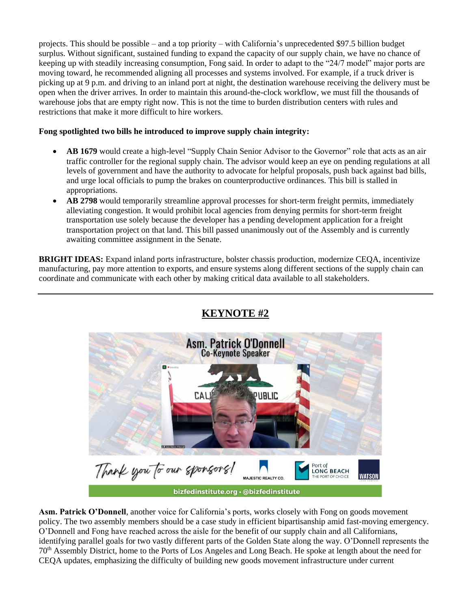projects. This should be possible – and a top priority – with California's unprecedented \$97.5 billion budget surplus. Without significant, sustained funding to expand the capacity of our supply chain, we have no chance of keeping up with steadily increasing consumption, Fong said. In order to adapt to the "24/7 model" major ports are moving toward, he recommended aligning all processes and systems involved. For example, if a truck driver is picking up at 9 p.m. and driving to an inland port at night, the destination warehouse receiving the delivery must be open when the driver arrives. In order to maintain this around-the-clock workflow, we must fill the thousands of warehouse jobs that are empty right now. This is not the time to burden distribution centers with rules and restrictions that make it more difficult to hire workers.

#### **Fong spotlighted two bills he introduced to improve supply chain integrity:**

- **AB 1679** would create a high-level "Supply Chain Senior Advisor to the Governor" role that acts as an air traffic controller for the regional supply chain. The advisor would keep an eye on pending regulations at all levels of government and have the authority to advocate for helpful proposals, push back against bad bills, and urge local officials to pump the brakes on counterproductive ordinances. This bill is stalled in appropriations.
- **AB 2798** would temporarily streamline approval processes for short-term freight permits, immediately alleviating congestion. It would prohibit local agencies from denying permits for short-term freight transportation use solely because the developer has a pending development application for a freight transportation project on that land. This bill passed unanimously out of the Assembly and is currently awaiting committee assignment in the Senate.

**BRIGHT IDEAS:** Expand inland ports infrastructure, bolster chassis production, modernize CEQA, incentivize manufacturing, pay more attention to exports, and ensure systems along different sections of the supply chain can coordinate and communicate with each other by making critical data available to all stakeholders.



#### **Asm. Patrick O'Donnell**, another voice for California's ports, works closely with Fong on goods movement policy. The two assembly members should be a case study in efficient bipartisanship amid fast-moving emergency. O'Donnell and Fong have reached across the aisle for the benefit of our supply chain and all Californians, identifying parallel goals for two vastly different parts of the Golden State along the way. O'Donnell represents the 70th Assembly District, home to the Ports of Los Angeles and Long Beach. He spoke at length about the need for CEQA updates, emphasizing the difficulty of building new goods movement infrastructure under current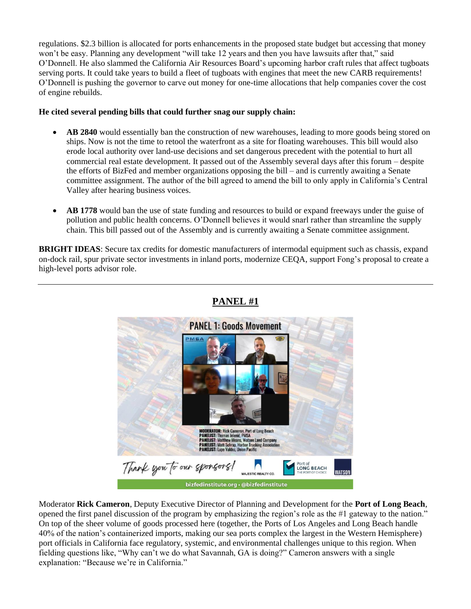regulations. \$2.3 billion is allocated for ports enhancements in the proposed state budget but accessing that money won't be easy. Planning any development "will take 12 years and then you have lawsuits after that," said O'Donnell. He also slammed the California Air Resources Board's upcoming harbor craft rules that affect tugboats serving ports. It could take years to build a fleet of tugboats with engines that meet the new CARB requirements! O'Donnell is pushing the governor to carve out money for one-time allocations that help companies cover the cost of engine rebuilds.

#### **He cited several pending bills that could further snag our supply chain:**

- **AB 2840** would essentially ban the construction of new warehouses, leading to more goods being stored on ships. Now is not the time to retool the waterfront as a site for floating warehouses. This bill would also erode local authority over land-use decisions and set dangerous precedent with the potential to hurt all commercial real estate development. It passed out of the Assembly several days after this forum – despite the efforts of BizFed and member organizations opposing the bill – and is currently awaiting a Senate committee assignment. The author of the bill agreed to amend the bill to only apply in California's Central Valley after hearing business voices.
- **AB 1778** would ban the use of state funding and resources to build or expand freeways under the guise of pollution and public health concerns. O'Donnell believes it would snarl rather than streamline the supply chain. This bill passed out of the Assembly and is currently awaiting a Senate committee assignment.

**BRIGHT IDEAS**: Secure tax credits for domestic manufacturers of intermodal equipment such as chassis, expand on-dock rail, spur private sector investments in inland ports, modernize CEQA, support Fong's proposal to create a high-level ports advisor role.



### **PANEL #1**

bizfedinstitute.org · @bizfedinstitute

Moderator **Rick Cameron**, Deputy Executive Director of Planning and Development for the **Port of Long Beach**, opened the first panel discussion of the program by emphasizing the region's role as the #1 gateway to the nation." On top of the sheer volume of goods processed here (together, the Ports of Los Angeles and Long Beach handle 40% of the nation's containerized imports, making our sea ports complex the largest in the Western Hemisphere) port officials in California face regulatory, systemic, and environmental challenges unique to this region. When fielding questions like, "Why can't we do what Savannah, GA is doing?" Cameron answers with a single explanation: "Because we're in California."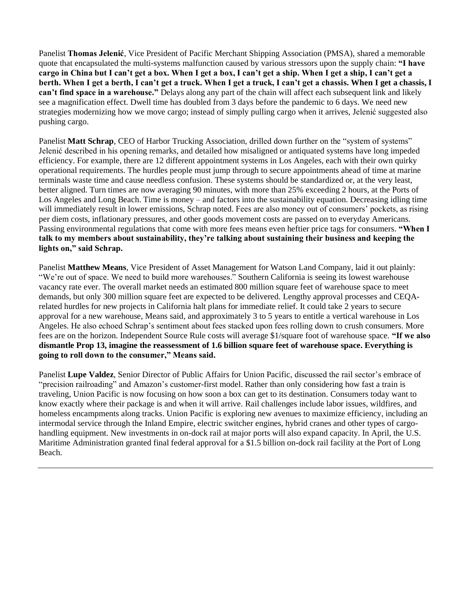Panelist **Thomas Jelenić**, Vice President of Pacific Merchant Shipping Association (PMSA), shared a memorable quote that encapsulated the multi-systems malfunction caused by various stressors upon the supply chain: **"I have cargo in China but I can't get a box. When I get a box, I can't get a ship. When I get a ship, I can't get a berth. When I get a berth, I can't get a truck. When I get a truck, I can't get a chassis. When I get a chassis, I can't find space in a warehouse."** Delays along any part of the chain will affect each subsequent link and likely see a magnification effect. Dwell time has doubled from 3 days before the pandemic to 6 days. We need new strategies modernizing how we move cargo; instead of simply pulling cargo when it arrives, Jelenić suggested also pushing cargo.

Panelist **Matt Schrap**, CEO of Harbor Trucking Association, drilled down further on the "system of systems" Jelenić described in his opening remarks, and detailed how misaligned or antiquated systems have long impeded efficiency. For example, there are 12 different appointment systems in Los Angeles, each with their own quirky operational requirements. The hurdles people must jump through to secure appointments ahead of time at marine terminals waste time and cause needless confusion. These systems should be standardized or, at the very least, better aligned. Turn times are now averaging 90 minutes, with more than 25% exceeding 2 hours, at the Ports of Los Angeles and Long Beach. Time is money – and factors into the sustainability equation. Decreasing idling time will immediately result in lower emissions, Schrap noted. Fees are also money out of consumers' pockets, as rising per diem costs, inflationary pressures, and other goods movement costs are passed on to everyday Americans. Passing environmental regulations that come with more fees means even heftier price tags for consumers. **"When I talk to my members about sustainability, they're talking about sustaining their business and keeping the lights on," said Schrap.** 

Panelist **Matthew Means**, Vice President of Asset Management for Watson Land Company, laid it out plainly: "We're out of space. We need to build more warehouses." Southern California is seeing its lowest warehouse vacancy rate ever. The overall market needs an estimated 800 million square feet of warehouse space to meet demands, but only 300 million square feet are expected to be delivered. Lengthy approval processes and CEQArelated hurdles for new projects in California halt plans for immediate relief. It could take 2 years to secure approval for a new warehouse, Means said, and approximately 3 to 5 years to entitle a vertical warehouse in Los Angeles. He also echoed Schrap's sentiment about fees stacked upon fees rolling down to crush consumers. More fees are on the horizon. Independent Source Rule costs will average \$1/square foot of warehouse space. **"If we also dismantle Prop 13, imagine the reassessment of 1.6 billion square feet of warehouse space. Everything is going to roll down to the consumer," Means said.**

Panelist **Lupe Valdez**, Senior Director of Public Affairs for Union Pacific, discussed the rail sector's embrace of "precision railroading" and Amazon's customer-first model. Rather than only considering how fast a train is traveling, Union Pacific is now focusing on how soon a box can get to its destination. Consumers today want to know exactly where their package is and when it will arrive. Rail challenges include labor issues, wildfires, and homeless encampments along tracks. Union Pacific is exploring new avenues to maximize efficiency, including an intermodal service through the Inland Empire, electric switcher engines, hybrid cranes and other types of cargohandling equipment. New investments in on-dock rail at major ports will also expand capacity. In April, the U.S. Maritime Administration granted final federal approval for a \$1.5 billion on-dock rail facility at the Port of Long Beach.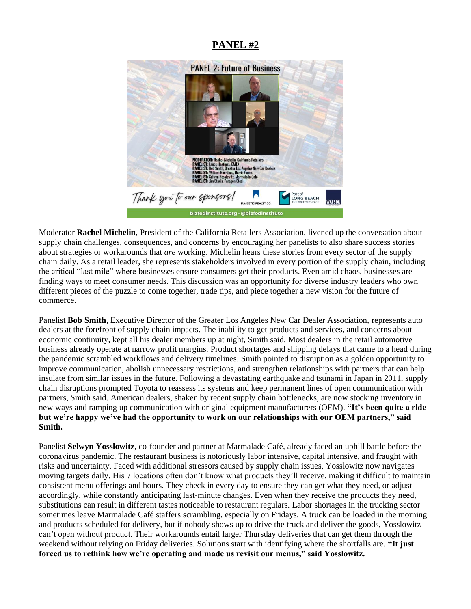### **PANEL #2**



Moderator **Rachel Michelin**, President of the California Retailers Association, livened up the conversation about supply chain challenges, consequences, and concerns by encouraging her panelists to also share success stories about strategies or workarounds that *are* working. Michelin hears these stories from every sector of the supply chain daily. As a retail leader, she represents stakeholders involved in every portion of the supply chain, including the critical "last mile" where businesses ensure consumers get their products. Even amid chaos, businesses are finding ways to meet consumer needs. This discussion was an opportunity for diverse industry leaders who own different pieces of the puzzle to come together, trade tips, and piece together a new vision for the future of commerce.

Panelist **Bob Smith**, Executive Director of the Greater Los Angeles New Car Dealer Association, represents auto dealers at the forefront of supply chain impacts. The inability to get products and services, and concerns about economic continuity, kept all his dealer members up at night, Smith said. Most dealers in the retail automotive business already operate at narrow profit margins. Product shortages and shipping delays that came to a head during the pandemic scrambled workflows and delivery timelines. Smith pointed to disruption as a golden opportunity to improve communication, abolish unnecessary restrictions, and strengthen relationships with partners that can help insulate from similar issues in the future. Following a devastating earthquake and tsunami in Japan in 2011, supply chain disruptions prompted Toyota to reassess its systems and keep permanent lines of open communication with partners, Smith said. American dealers, shaken by recent supply chain bottlenecks, are now stocking inventory in new ways and ramping up communication with original equipment manufacturers (OEM). **"It's been quite a ride but we're happy we've had the opportunity to work on our relationships with our OEM partners," said Smith.** 

Panelist **Selwyn Yosslowitz**, co-founder and partner at Marmalade Café, already faced an uphill battle before the coronavirus pandemic. The restaurant business is notoriously labor intensive, capital intensive, and fraught with risks and uncertainty. Faced with additional stressors caused by supply chain issues, Yosslowitz now navigates moving targets daily. His 7 locations often don't know what products they'll receive, making it difficult to maintain consistent menu offerings and hours. They check in every day to ensure they can get what they need, or adjust accordingly, while constantly anticipating last-minute changes. Even when they receive the products they need, substitutions can result in different tastes noticeable to restaurant regulars. Labor shortages in the trucking sector sometimes leave Marmalade Café staffers scrambling, especially on Fridays. A truck can be loaded in the morning and products scheduled for delivery, but if nobody shows up to drive the truck and deliver the goods, Yosslowitz can't open without product. Their workarounds entail larger Thursday deliveries that can get them through the weekend without relying on Friday deliveries. Solutions start with identifying where the shortfalls are. **"It just forced us to rethink how we're operating and made us revisit our menus," said Yosslowitz.**